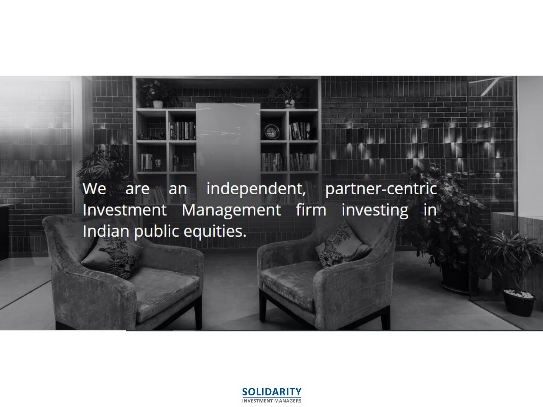We are an independent, partner-centric Investment Management firm investing in Indian public equities.

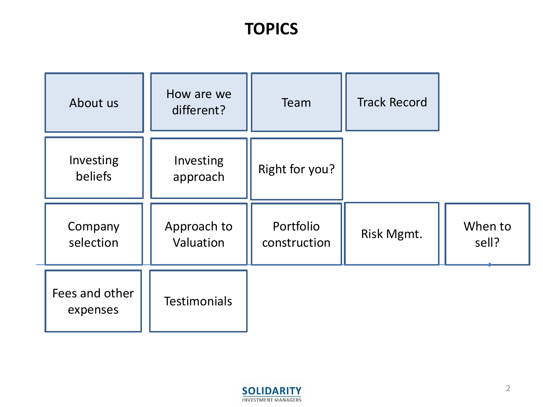## **TOPICS**

| About us                   | How are we<br>different? | Team                      | <b>Track Record</b> |                  |
|----------------------------|--------------------------|---------------------------|---------------------|------------------|
| Investing<br>beliefs       | Investing<br>approach    | Right for you?            |                     |                  |
| Company<br>selection       | Approach to<br>Valuation | Portfolio<br>construction | Risk Mgmt.          | When to<br>sell? |
| Fees and other<br>expenses | <b>Testimonials</b>      |                           |                     |                  |

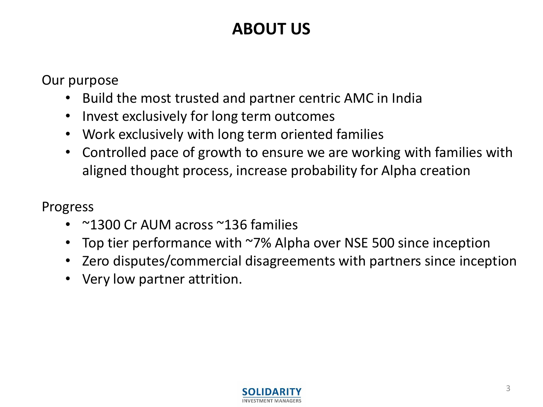# **ABOUT US**

Our purpose

- Build the most trusted and partner centric AMC in India
- Invest exclusively for long term outcomes
- Work exclusively with long term oriented families
- Controlled pace of growth to ensure we are working with families with aligned thought process, increase probability for Alpha creation

Progress

- ~1300 Cr AUM across ~136 families
- Top tier performance with ~7% Alpha over NSE 500 since inception
- Zero disputes/commercial disagreements with partners since inception
- Very low partner attrition.

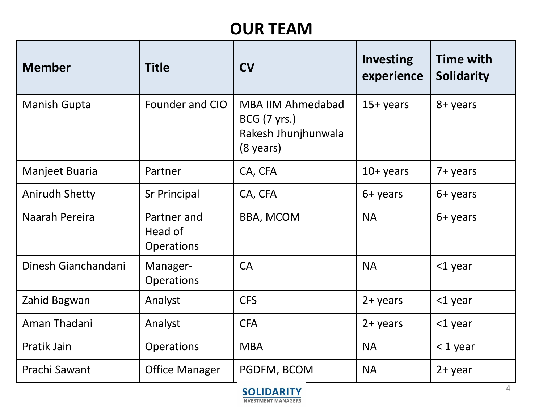# **OUR TEAM**

| <b>Member</b>         | <b>Title</b>                                | <b>CV</b>                                                                                     | <b>Investing</b><br>experience | <b>Time with</b><br><b>Solidarity</b> |
|-----------------------|---------------------------------------------|-----------------------------------------------------------------------------------------------|--------------------------------|---------------------------------------|
| <b>Manish Gupta</b>   | Founder and CIO                             | <b>MBA IIM Ahmedabad</b><br><b>BCG</b> (7 yrs.)<br>Rakesh Jhunjhunwala<br>$(8 \text{ years})$ | $15+ years$                    | 8+ years                              |
| Manjeet Buaria        | Partner                                     | CA, CFA                                                                                       | $10+$ years                    | 7+ years                              |
| <b>Anirudh Shetty</b> | <b>Sr Principal</b>                         | CA, CFA                                                                                       | 6+ years                       | 6+ years                              |
| Naarah Pereira        | Partner and<br>Head of<br><b>Operations</b> | <b>BBA, MCOM</b>                                                                              | <b>NA</b>                      | 6+ years                              |
| Dinesh Gianchandani   | Manager-<br><b>Operations</b>               | <b>CA</b>                                                                                     | <b>NA</b>                      | <1 year                               |
| Zahid Bagwan          | Analyst                                     | <b>CFS</b>                                                                                    | $2 + years$                    | <1 year                               |
| Aman Thadani          | Analyst                                     | <b>CFA</b>                                                                                    | $2 + years$                    | <1 year                               |
| Pratik Jain           | <b>Operations</b>                           | <b>MBA</b>                                                                                    | <b>NA</b>                      | $<$ 1 year                            |
| Prachi Sawant         | <b>Office Manager</b>                       | PGDFM, BCOM                                                                                   | <b>NA</b>                      | $2 + year$                            |

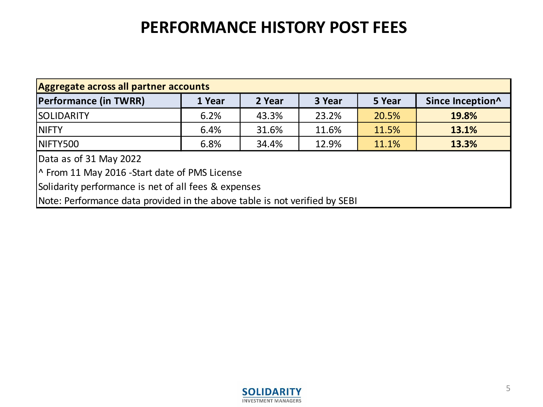## **PERFORMANCE HISTORY POST FEES**

| Aggregate across all partner accounts                                      |        |        |        |        |                  |  |
|----------------------------------------------------------------------------|--------|--------|--------|--------|------------------|--|
| <b>Performance (in TWRR)</b>                                               | 1 Year | 2 Year | 3 Year | 5 Year | Since Inception^ |  |
| <b>SOLIDARITY</b>                                                          | 6.2%   | 43.3%  | 23.2%  | 20.5%  | 19.8%            |  |
| 11.5%<br>31.6%<br>11.6%<br>13.1%<br><b>NIFTY</b><br>6.4%                   |        |        |        |        |                  |  |
| 11.1%<br>NIFTY500<br>34.4%<br>12.9%<br>13.3%<br>6.8%                       |        |        |        |        |                  |  |
| Data as of 31 May 2022                                                     |        |        |        |        |                  |  |
| The From 11 May 2016 - Start date of PMS License                           |        |        |        |        |                  |  |
| Solidarity performance is net of all fees & expenses                       |        |        |        |        |                  |  |
| Note: Performance data provided in the above table is not verified by SEBI |        |        |        |        |                  |  |

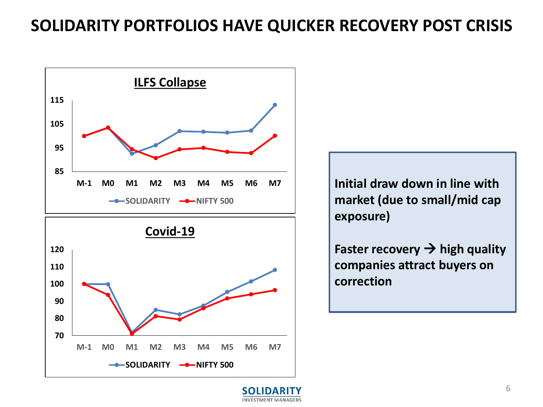#### **SOLIDARITY PORTFOLIOS HAVE QUICKER RECOVERY POST CRISIS**



**SOLIDARITY -C-NIFTY** 500

**Initial draw down in line with market (due to small/mid cap exposure)** 

**Faster recovery**  $\rightarrow$  **high quality companies attract buyers on correction** 

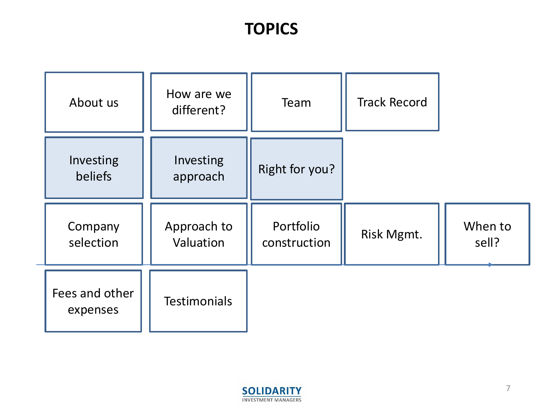## **TOPICS**

| About us                   | How are we<br>different? | Team                      | <b>Track Record</b> |                  |
|----------------------------|--------------------------|---------------------------|---------------------|------------------|
| Investing<br>beliefs       | Investing<br>approach    | Right for you?            |                     |                  |
| Company<br>selection       | Approach to<br>Valuation | Portfolio<br>construction | Risk Mgmt.          | When to<br>sell? |
| Fees and other<br>expenses | <b>Testimonials</b>      |                           |                     |                  |

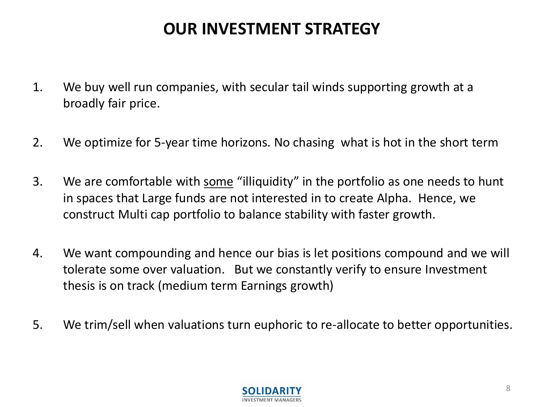## **OUR INVESTMENT STRATEGY**

- 1. We buy well run companies, with secular tail winds supporting growth at a broadly fair price.
- 2. We optimize for 5-year time horizons. No chasing what is hot in the short term
- 3. We are comfortable with some "illiquidity" in the portfolio as one needs to hunt in spaces that Large funds are not interested in to create Alpha. Hence, we construct Multi cap portfolio to balance stability with faster growth.
- 4. We want compounding and hence our bias is let positions compound and we will tolerate some over valuation. But we constantly verify to ensure Investment thesis is on track (medium term Earnings growth)
- 5. We trim/sell when valuations turn euphoric to re-allocate to better opportunities.

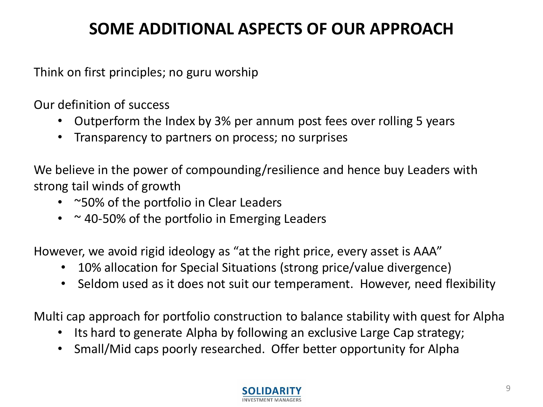# **SOME ADDITIONAL ASPECTS OF OUR APPROACH**

Think on first principles; no guru worship

Our definition of success

- Outperform the Index by 3% per annum post fees over rolling 5 years
- Transparency to partners on process; no surprises

We believe in the power of compounding/resilience and hence buy Leaders with strong tail winds of growth

- ~50% of the portfolio in Clear Leaders
- $\cdot$   $\sim$  40-50% of the portfolio in Emerging Leaders

However, we avoid rigid ideology as "at the right price, every asset is AAA"

- 10% allocation for Special Situations (strong price/value divergence)
- Seldom used as it does not suit our temperament. However, need flexibility

Multi cap approach for portfolio construction to balance stability with quest for Alpha

- Its hard to generate Alpha by following an exclusive Large Cap strategy;
- Small/Mid caps poorly researched. Offer better opportunity for Alpha

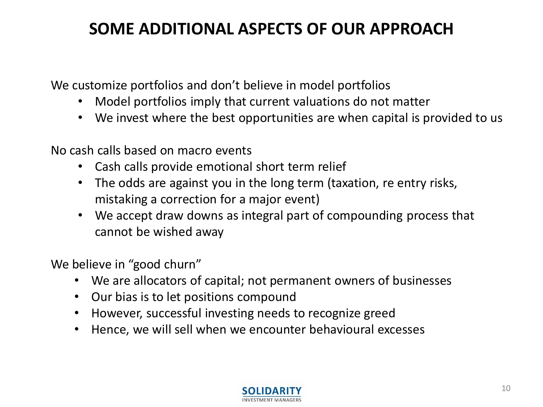# **SOME ADDITIONAL ASPECTS OF OUR APPROACH**

We customize portfolios and don't believe in model portfolios

- Model portfolios imply that current valuations do not matter
- We invest where the best opportunities are when capital is provided to us

No cash calls based on macro events

- Cash calls provide emotional short term relief
- The odds are against you in the long term (taxation, re entry risks, mistaking a correction for a major event)
- We accept draw downs as integral part of compounding process that cannot be wished away

We believe in "good churn"

- We are allocators of capital; not permanent owners of businesses
- Our bias is to let positions compound
- However, successful investing needs to recognize greed
- Hence, we will sell when we encounter behavioural excesses

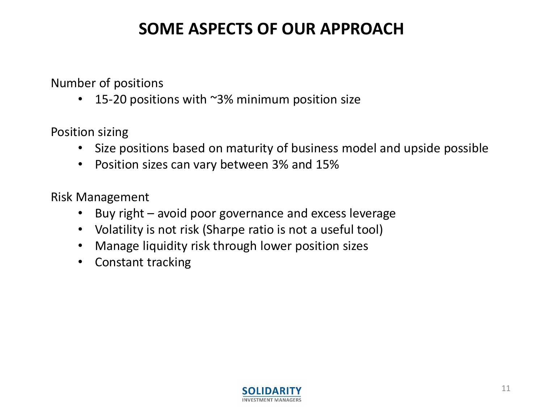## **SOME ASPECTS OF OUR APPROACH**

Number of positions

15-20 positions with  $\sim$ 3% minimum position size

Position sizing

- Size positions based on maturity of business model and upside possible
- Position sizes can vary between 3% and 15%

Risk Management

- Buy right avoid poor governance and excess leverage
- Volatility is not risk (Sharpe ratio is not a useful tool)
- Manage liquidity risk through lower position sizes
- Constant tracking

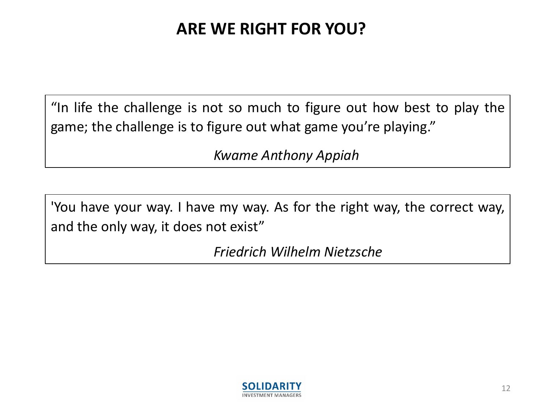# **ARE WE RIGHT FOR YOU?**

"In life the challenge is not so much to figure out how best to play the game; the challenge is to figure out what game you're playing."

*Kwame Anthony Appiah*

'You have your way. I have my way. As for the right way, the correct way, and the only way, it does not exist"

*Friedrich Wilhelm Nietzsche*

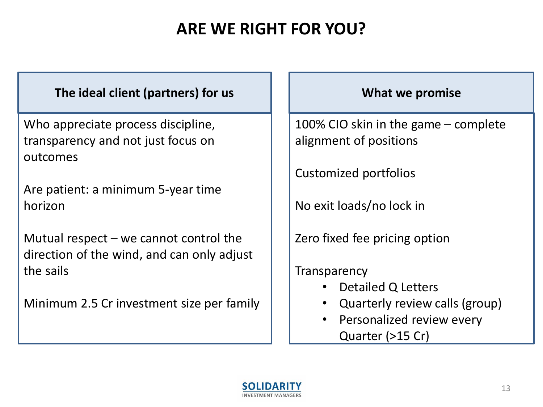# **ARE WE RIGHT FOR YOU?**

#### **The ideal client (partners) for us Noting Life 1 and 1 and 1 what we promise**

Who appreciate process discipline, transparency and not just focus on outcomes

Are patient: a minimum 5-year time horizon

Mutual respect  $-$  we cannot control the direction of the wind, and can only adjust the sails

Minimum 2.5 Cr investment size per family

100% CIO skin in the game – complete alignment of positions

Customized portfolios

No exit loads/no lock in

Zero fixed fee pricing option

**Transparency** 

- Detailed Q Letters
- Quarterly review calls (group)
- Personalized review every Quarter (>15 Cr)

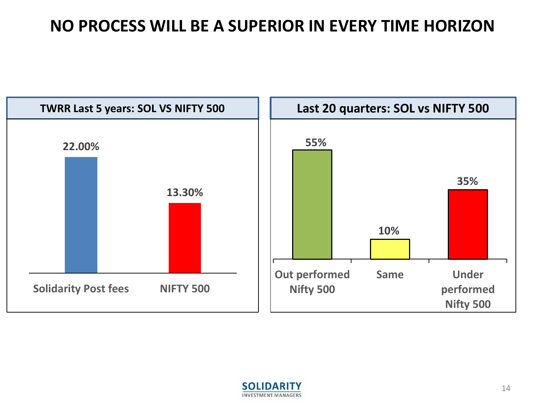#### **NO PROCESS WILL BE A SUPERIOR IN EVERY TIME HORIZON**



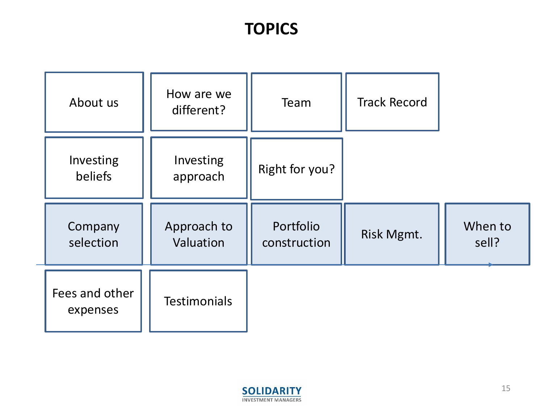## **TOPICS**

| About us                   | How are we<br>different? | Team                      | <b>Track Record</b> |                  |
|----------------------------|--------------------------|---------------------------|---------------------|------------------|
| Investing<br>beliefs       | Investing<br>approach    | Right for you?            |                     |                  |
| Company<br>selection       | Approach to<br>Valuation | Portfolio<br>construction | Risk Mgmt.          | When to<br>sell? |
| Fees and other<br>expenses | <b>Testimonials</b>      |                           |                     |                  |

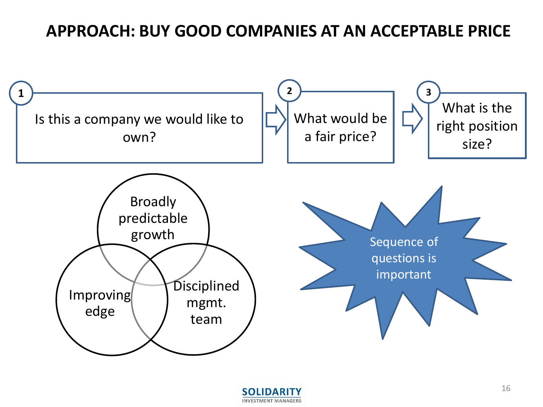#### **APPROACH: BUY GOOD COMPANIES AT AN ACCEPTABLE PRICE**



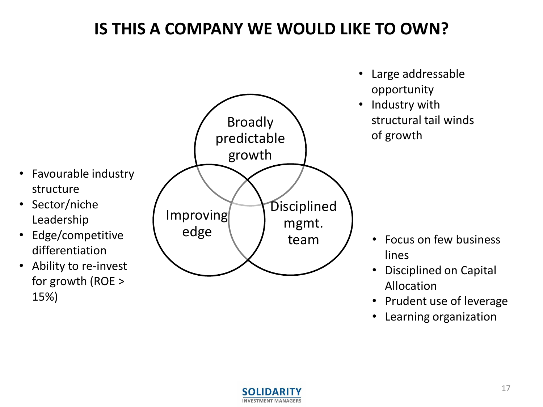# **IS THIS A COMPANY WE WOULD LIKE TO OWN?**

- Broadly predictable growth **Disciplined** mgmt. team Improving edge opportunity • Industry with structural tail winds of growth • Favourable industry structure • Sector/niche Leadership • Edge/competitive differentiation • Ability to re-invest lines
	- for growth (ROE > 15%)



• Large addressable

- Focus on few business
- Disciplined on Capital Allocation
- Prudent use of leverage
- Learning organization

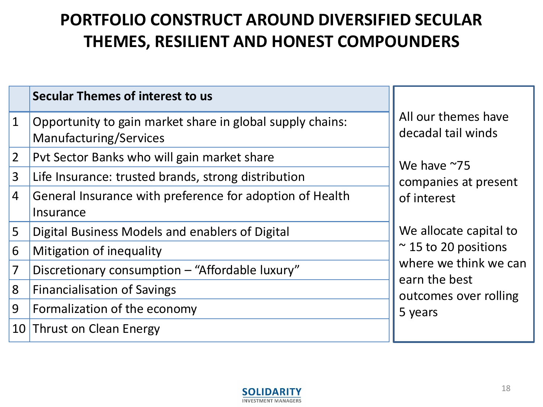# **PORTFOLIO CONSTRUCT AROUND DIVERSIFIED SECULAR THEMES, RESILIENT AND HONEST COMPOUNDERS**

|                | Secular Themes of interest to us                                                    |                                           |
|----------------|-------------------------------------------------------------------------------------|-------------------------------------------|
| 1              | Opportunity to gain market share in global supply chains:<br>Manufacturing/Services | All our themes have<br>decadal tail winds |
| $\overline{2}$ | Pyt Sector Banks who will gain market share                                         | We have $~25$                             |
| 3              | Life Insurance: trusted brands, strong distribution                                 | companies at present                      |
| 4              | General Insurance with preference for adoption of Health<br>Insurance               | of interest                               |
| 5              | Digital Business Models and enablers of Digital                                     | We allocate capital to                    |
| 6              | Mitigation of inequality                                                            | $\approx$ 15 to 20 positions              |
| 7              | Discretionary consumption - "Affordable luxury"                                     | where we think we can<br>earn the best    |
| 8              | <b>Financialisation of Savings</b>                                                  | outcomes over rolling                     |
| 9              | Formalization of the economy                                                        | 5 years                                   |
|                | 10 Thrust on Clean Energy                                                           |                                           |

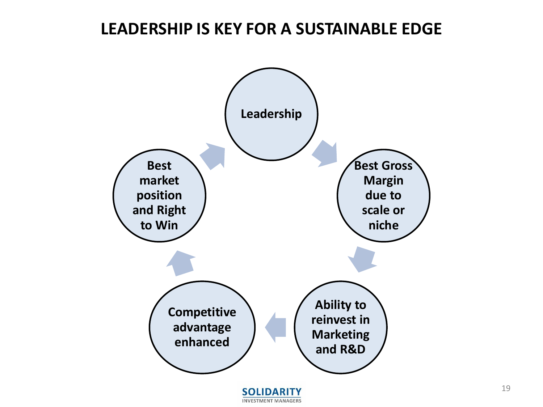#### **LEADERSHIP IS KEY FOR A SUSTAINABLE EDGE**

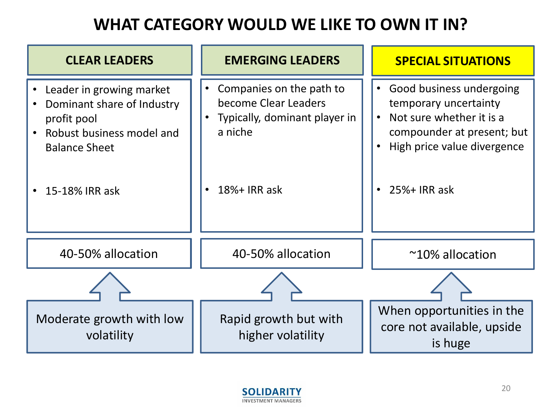# **WHAT CATEGORY WOULD WE LIKE TO OWN IT IN?**

| <b>CLEAR LEADERS</b>                                                                                                                         | <b>EMERGING LEADERS</b>                                                                                                   | <b>SPECIAL SITUATIONS</b>                                                                                                                                                                         |
|----------------------------------------------------------------------------------------------------------------------------------------------|---------------------------------------------------------------------------------------------------------------------------|---------------------------------------------------------------------------------------------------------------------------------------------------------------------------------------------------|
| Leader in growing market<br>Dominant share of Industry<br>profit pool<br>Robust business model and<br><b>Balance Sheet</b><br>15-18% IRR ask | Companies on the path to<br>$\bullet$<br>become Clear Leaders<br>Typically, dominant player in<br>a niche<br>18%+ IRR ask | Good business undergoing<br>$\bullet$<br>temporary uncertainty<br>Not sure whether it is a<br>compounder at present; but<br>High price value divergence<br>$\bullet$<br>25%+ IRR ask<br>$\bullet$ |
| 40-50% allocation                                                                                                                            | 40-50% allocation                                                                                                         | $~10\%$ allocation                                                                                                                                                                                |
|                                                                                                                                              |                                                                                                                           |                                                                                                                                                                                                   |
| Moderate growth with low<br>volatility                                                                                                       | Rapid growth but with<br>higher volatility                                                                                | When opportunities in the<br>core not available, upside<br>is huge                                                                                                                                |

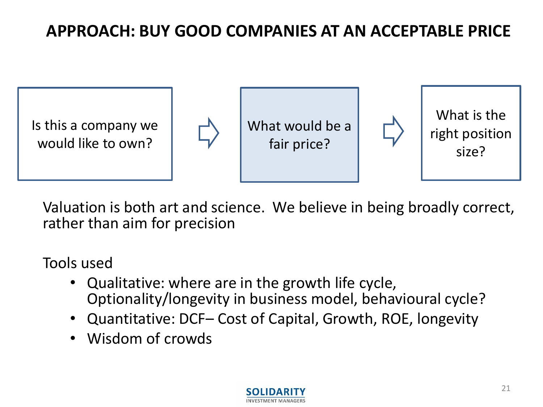# **APPROACH: BUY GOOD COMPANIES AT AN ACCEPTABLE PRICE**



Valuation is both art and science. We believe in being broadly correct, rather than aim for precision

Tools used

- Qualitative: where are in the growth life cycle, Optionality/longevity in business model, behavioural cycle?
- Quantitative: DCF– Cost of Capital, Growth, ROE, longevity
- Wisdom of crowds

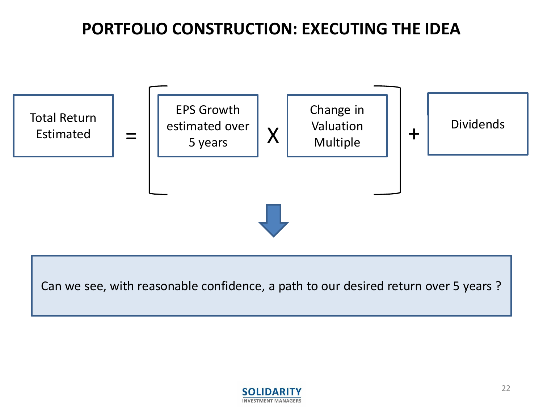# **PORTFOLIO CONSTRUCTION: EXECUTING THE IDEA**



Can we see, with reasonable confidence, a path to our desired return over 5 years ?

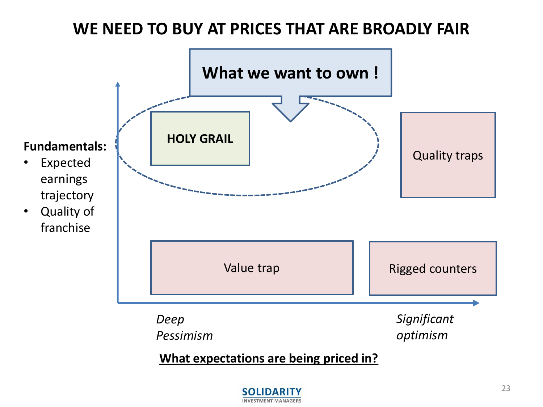#### **WE NEED TO BUY AT PRICES THAT ARE BROADLY FAIR**



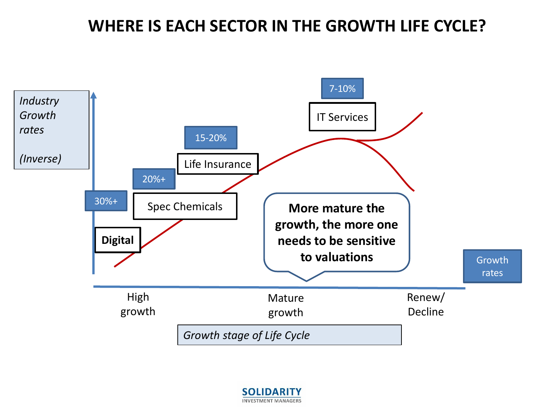#### **WHERE IS EACH SECTOR IN THE GROWTH LIFE CYCLE?**



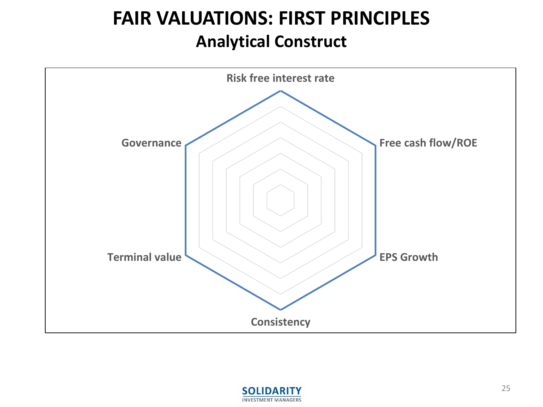# **FAIR VALUATIONS: FIRST PRINCIPLES Analytical Construct**



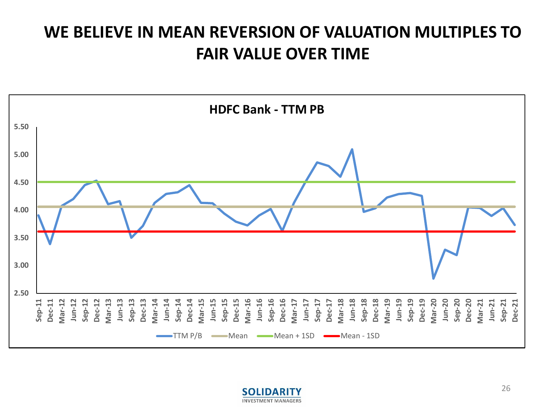# **WE BELIEVE IN MEAN REVERSION OF VALUATION MULTIPLES TO FAIR VALUE OVER TIME**



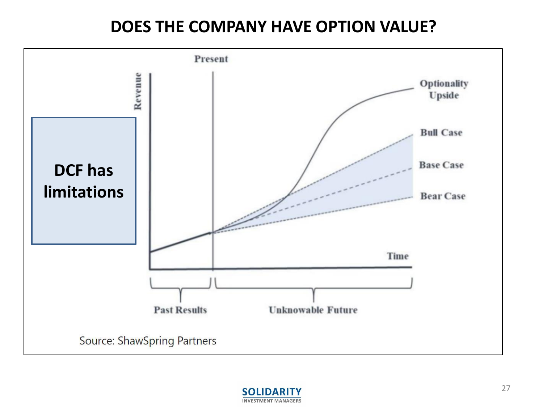#### **DOES THE COMPANY HAVE OPTION VALUE?**



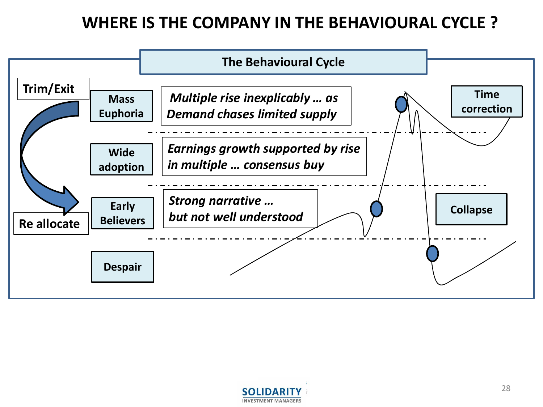# **WHERE IS THE COMPANY IN THE BEHAVIOURAL CYCLE ?**



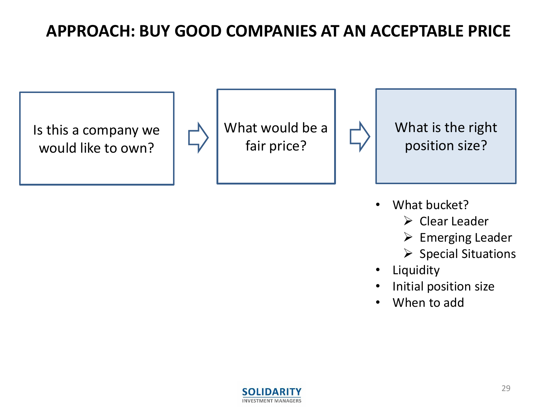## **APPROACH: BUY GOOD COMPANIES AT AN ACCEPTABLE PRICE**

Is this a company we would like to own?





What is the right position size?

- What bucket?
	- ➢ Clear Leader
	- ➢ Emerging Leader
	- ➢ Special Situations
- **Liquidity**
- Initial position size
- When to add

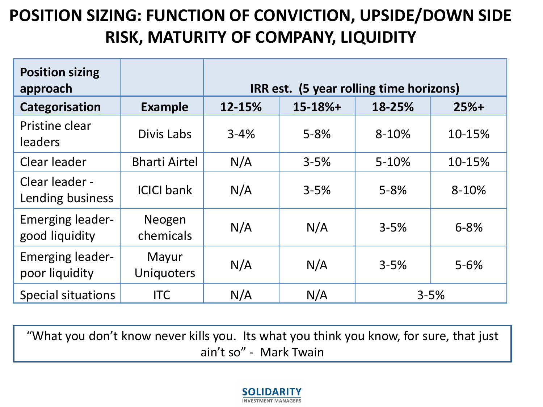# **POSITION SIZING: FUNCTION OF CONVICTION, UPSIDE/DOWN SIDE RISK, MATURITY OF COMPANY, LIQUIDITY**

| <b>Position sizing</b><br>approach        |                            | IRR est. (5 year rolling time horizons) |            |           |           |
|-------------------------------------------|----------------------------|-----------------------------------------|------------|-----------|-----------|
| Categorisation                            | <b>Example</b>             | 12-15%                                  | $15-18%$ + | 18-25%    | $25%+$    |
| Pristine clear<br><b>leaders</b>          | Divis Labs                 | $3 - 4%$                                | $5 - 8%$   | 8-10%     | 10-15%    |
| Clear leader                              | <b>Bharti Airtel</b>       | N/A                                     | $3 - 5%$   | $5 - 10%$ | 10-15%    |
| Clear leader -<br>Lending business        | <b>ICICI bank</b>          | N/A                                     | $3 - 5%$   | $5 - 8%$  | $8 - 10%$ |
| <b>Emerging leader-</b><br>good liquidity | Neogen<br>chemicals        | N/A                                     | N/A        | $3 - 5%$  | $6 - 8%$  |
| <b>Emerging leader-</b><br>poor liquidity | Mayur<br><b>Uniquoters</b> | N/A                                     | N/A        | $3 - 5%$  | $5 - 6%$  |
| Special situations                        | <b>ITC</b>                 | N/A                                     | N/A        |           | $3 - 5%$  |

"What you don't know never kills you. Its what you think you know, for sure, that just ain't so" - Mark Twain

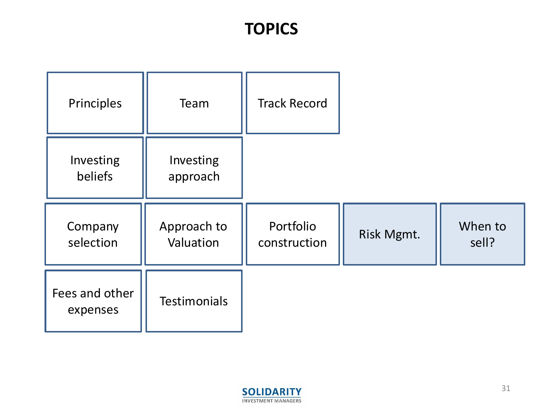## **TOPICS**

| Principles                 | Team                     | <b>Track Record</b>       |            |                  |
|----------------------------|--------------------------|---------------------------|------------|------------------|
| Investing<br>beliefs       | Investing<br>approach    |                           |            |                  |
| Company<br>selection       | Approach to<br>Valuation | Portfolio<br>construction | Risk Mgmt. | When to<br>sell? |
| Fees and other<br>expenses | <b>Testimonials</b>      |                           |            |                  |

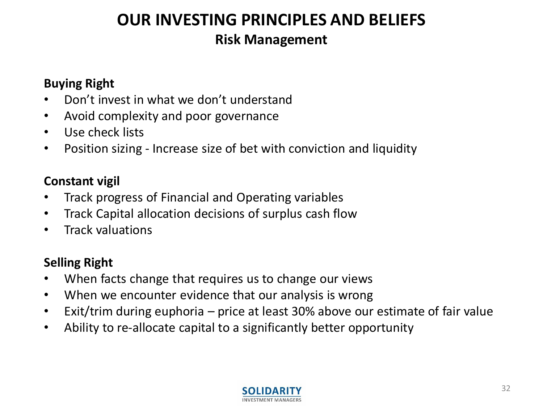# **OUR INVESTING PRINCIPLES AND BELIEFS Risk Management**

#### **Buying Right**

- Don't invest in what we don't understand
- Avoid complexity and poor governance
- Use check lists
- Position sizing Increase size of bet with conviction and liquidity

#### **Constant vigil**

- Track progress of Financial and Operating variables
- Track Capital allocation decisions of surplus cash flow
- Track valuations

#### **Selling Right**

- When facts change that requires us to change our views
- When we encounter evidence that our analysis is wrong
- Exit/trim during euphoria price at least 30% above our estimate of fair value
- Ability to re-allocate capital to a significantly better opportunity

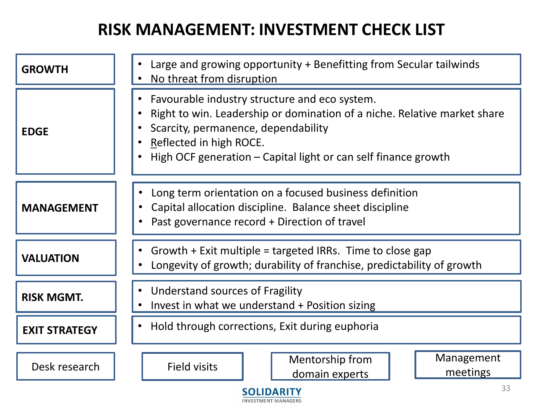# **RISK MANAGEMENT: INVESTMENT CHECK LIST**

|                         | Large and growing opportunity + Benefitting from Secular tailwinds                                                                                                                                                                                            |  |  |  |  |
|-------------------------|---------------------------------------------------------------------------------------------------------------------------------------------------------------------------------------------------------------------------------------------------------------|--|--|--|--|
| <b>GROWTH</b>           | No threat from disruption                                                                                                                                                                                                                                     |  |  |  |  |
| <b>EDGE</b>             | Favourable industry structure and eco system.<br>Right to win. Leadership or domination of a niche. Relative market share<br>Scarcity, permanence, dependability<br>Reflected in high ROCE.<br>High OCF generation – Capital light or can self finance growth |  |  |  |  |
| <b>MANAGEMENT</b>       | Long term orientation on a focused business definition<br>Capital allocation discipline. Balance sheet discipline<br>Past governance record + Direction of travel                                                                                             |  |  |  |  |
| <b>VALUATION</b>        | Growth $+$ Exit multiple = targeted IRRs. Time to close gap<br>Longevity of growth; durability of franchise, predictability of growth                                                                                                                         |  |  |  |  |
| <b>RISK MGMT.</b>       | Understand sources of Fragility<br>Invest in what we understand + Position sizing                                                                                                                                                                             |  |  |  |  |
| <b>EXIT STRATEGY</b>    | Hold through corrections, Exit during euphoria<br>$\bullet$                                                                                                                                                                                                   |  |  |  |  |
| Desk research           | Management<br>Mentorship from<br><b>Field visits</b><br>meetings<br>domain experts                                                                                                                                                                            |  |  |  |  |
| 33<br><b>SOLIDARITY</b> |                                                                                                                                                                                                                                                               |  |  |  |  |

**INVESTMENT MANAGERS**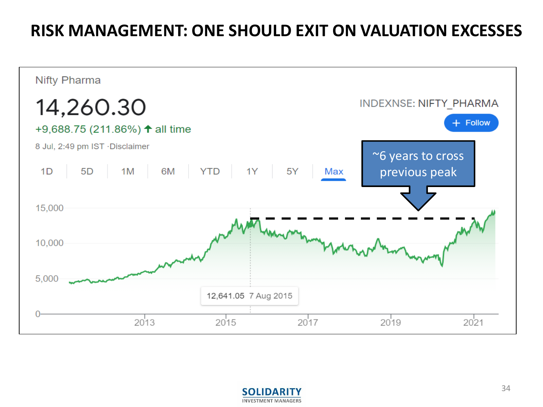#### **RISK MANAGEMENT: ONE SHOULD EXIT ON VALUATION EXCESSES**



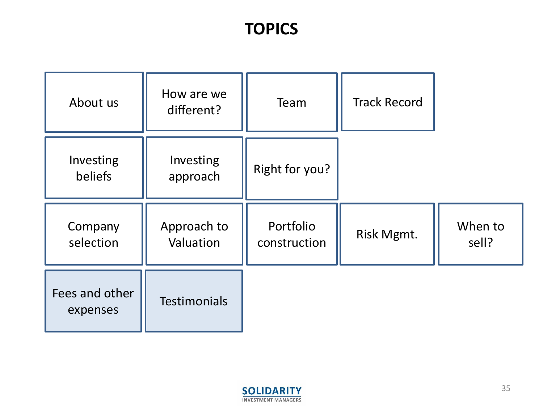## **TOPICS**

| About us                   | How are we<br>different? | Team                      | <b>Track Record</b> |                  |
|----------------------------|--------------------------|---------------------------|---------------------|------------------|
| Investing<br>beliefs       | Investing<br>approach    | Right for you?            |                     |                  |
| Company<br>selection       | Approach to<br>Valuation | Portfolio<br>construction | Risk Mgmt.          | When to<br>sell? |
| Fees and other<br>expenses | <b>Testimonials</b>      |                           |                     |                  |

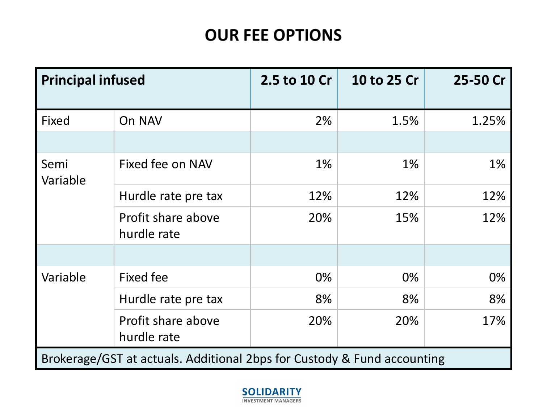# **OUR FEE OPTIONS**

| <b>Principal infused</b> |                                                                         | 2.5 to 10 Cr | 10 to 25 Cr | 25-50 Cr |
|--------------------------|-------------------------------------------------------------------------|--------------|-------------|----------|
| Fixed                    | On NAV                                                                  | 2%           | 1.5%        | 1.25%    |
|                          |                                                                         |              |             |          |
| Semi<br>Variable         | Fixed fee on NAV                                                        | 1%           | $1\%$       | 1%       |
|                          | Hurdle rate pre tax                                                     | 12%          | 12%         | 12%      |
|                          | Profit share above<br>hurdle rate                                       | 20%          | 15%         | 12%      |
|                          |                                                                         |              |             |          |
| Variable                 | <b>Fixed fee</b>                                                        | 0%           | 0%          | 0%       |
|                          | Hurdle rate pre tax                                                     | 8%           | 8%          | 8%       |
|                          | Profit share above<br>hurdle rate                                       | 20%          | 20%         | 17%      |
|                          | Brokerage/GST at actuals. Additional 2bps for Custody & Fund accounting |              |             |          |

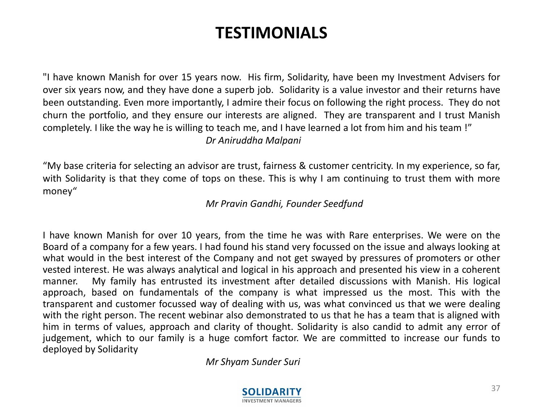#### **TESTIMONIALS**

"I have known Manish for over 15 years now. His firm, Solidarity, have been my Investment Advisers for over six years now, and they have done a superb job. Solidarity is a value investor and their returns have been outstanding. Even more importantly, I admire their focus on following the right process. They do not churn the portfolio, and they ensure our interests are aligned. They are transparent and I trust Manish completely. I like the way he is willing to teach me, and I have learned a lot from him and his team !" *Dr Aniruddha Malpani*

"My base criteria for selecting an advisor are trust, fairness & customer centricity. In my experience, so far, with Solidarity is that they come of tops on these. This is why I am continuing to trust them with more money"

*Mr Pravin Gandhi, Founder Seedfund*

I have known Manish for over 10 years, from the time he was with Rare enterprises. We were on the Board of a company for a few years. I had found his stand very focussed on the issue and always looking at what would in the best interest of the Company and not get swayed by pressures of promoters or other vested interest. He was always analytical and logical in his approach and presented his view in a coherent manner. My family has entrusted its investment after detailed discussions with Manish. His logical approach, based on fundamentals of the company is what impressed us the most. This with the transparent and customer focussed way of dealing with us, was what convinced us that we were dealing with the right person. The recent webinar also demonstrated to us that he has a team that is aligned with him in terms of values, approach and clarity of thought. Solidarity is also candid to admit any error of judgement, which to our family is a huge comfort factor. We are committed to increase our funds to deployed by Solidarity

*Mr Shyam Sunder Suri*

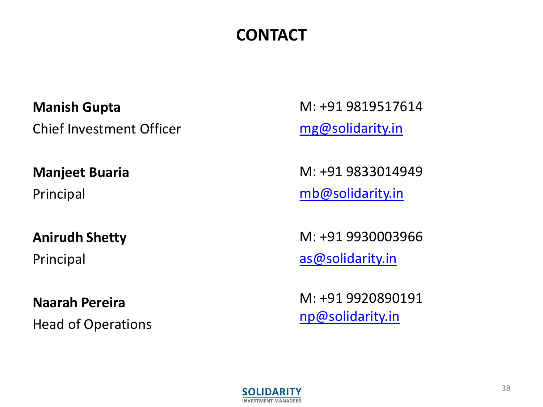# **CONTACT**

**Manish Gupta** Chief Investment Officer

**Manjeet Buaria**

Principal

**Anirudh Shetty**

Principal

**Naarah Pereira** Head of Operations M: +91 9819517614 [mg@solidarity.in](mailto:mg@solidarity.in)

M: +91 9833014949 [mb@solidarity.in](mailto:mg@solidarity.in)

M: +91 9930003966 [as@solidarity.in](mailto:mg@solidarity.in)

M: +91 9920890191 [np@solidarity.in](mailto:np@solidarity.in)